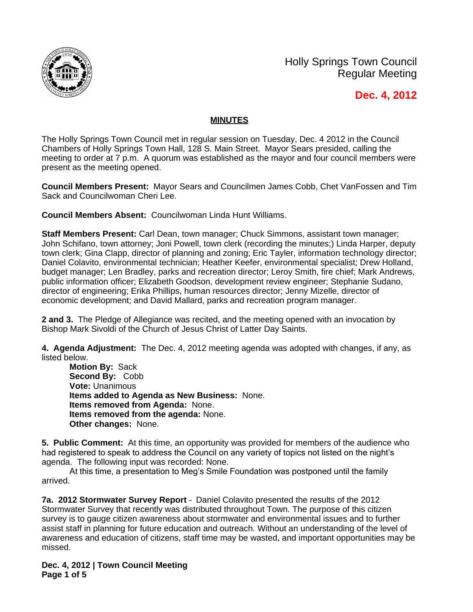

Holly Springs Town Council Regular Meeting

**Dec. 4, 2012**

## **MINUTES**

The Holly Springs Town Council met in regular session on Tuesday, Dec. 4 2012 in the Council Chambers of Holly Springs Town Hall, 128 S. Main Street. Mayor Sears presided, calling the meeting to order at 7 p.m. A quorum was established as the mayor and four council members were present as the meeting opened.

**Council Members Present:** Mayor Sears and Councilmen James Cobb, Chet VanFossen and Tim Sack and Councilwoman Cheri Lee.

**Council Members Absent:** Councilwoman Linda Hunt Williams.

**Staff Members Present:** Carl Dean, town manager; Chuck Simmons, assistant town manager; John Schifano, town attorney; Joni Powell, town clerk (recording the minutes;) Linda Harper, deputy town clerk; Gina Clapp, director of planning and zoning; Eric Tayler, information technology director; Daniel Colavito, environmental technician; Heather Keefer, environmental specialist; Drew Holland, budget manager; Len Bradley, parks and recreation director; Leroy Smith, fire chief; Mark Andrews, public information officer; Elizabeth Goodson, development review engineer; Stephanie Sudano, director of engineering; Erika Phillips, human resources director; Jenny Mizelle, director of economic development; and David Mallard, parks and recreation program manager.

**2 and 3.** The Pledge of Allegiance was recited, and the meeting opened with an invocation by Bishop Mark Sivoldi of the Church of Jesus Christ of Latter Day Saints.

**4. Agenda Adjustment:** The Dec. 4, 2012 meeting agenda was adopted with changes, if any, as listed below.

**Motion By:** Sack **Second By:** Cobb **Vote:** Unanimous **Items added to Agenda as New Business:** None. **Items removed from Agenda:** None. **Items removed from the agenda:** None. **Other changes:** None.

**5. Public Comment:** At this time, an opportunity was provided for members of the audience who had registered to speak to address the Council on any variety of topics not listed on the night's agenda. The following input was recorded: None.

At this time, a presentation to Meg's Smile Foundation was postponed until the family arrived.

**7a. 2012 Stormwater Survey Report** – Daniel Colavito presented the results of the 2012 Stormwater Survey that recently was distributed throughout Town. The purpose of this citizen survey is to gauge citizen awareness about stormwater and environmental issues and to further assist staff in planning for future education and outreach. Without an understanding of the level of awareness and education of citizens, staff time may be wasted, and important opportunities may be missed.

**Dec. 4, 2012 | Town Council Meeting Page 1 of 5**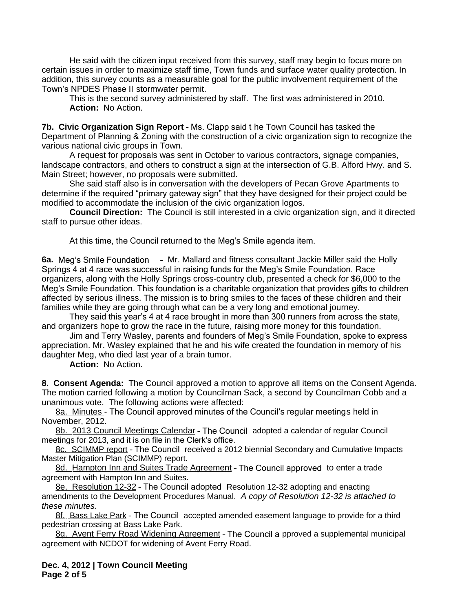He said with the citizen input received from this survey, staff may begin to focus more on certain issues in order to maximize staff time, Town funds and surface water quality protection. In addition, this survey counts as a measurable goal for the public involvement requirement of the Town's NPDES Phase II stormwater permit.

This is the second survey administered by staff. The first was administered in 2010. **Action:** No Action.

**7b. Civic Organization Sign Report** – Ms. Clapp said t he Town Council has tasked the Department of Planning & Zoning with the construction of a civic organization sign to recognize the various national civic groups in Town.

A request for proposals was sent in October to various contractors, signage companies, landscape contractors, and others to construct a sign at the intersection of G.B. Alford Hwy. and S. Main Street; however, no proposals were submitted.

She said staff also is in conversation with the developers of Pecan Grove Apartments to determine if the required "primary gateway sign" that they have designed for their project could be modified to accommodate the inclusion of the civic organization logos.

**Council Direction:** The Council is still interested in a civic organization sign, and it directed staff to pursue other ideas.

At this time, the Council returned to the Meg's Smile agenda item.

**6a.** Meg's Smile Foundation – Mr. Mallard and fitness consultant Jackie Miller said the Holly Springs 4 at 4 race was successful in raising funds for the Meg's Smile Foundation. Race organizers, along with the Holly Springs cross-country club, presented a check for \$6,000 to the Meg's Smile Foundation. This foundation is a charitable organization that provides gifts to children affected by serious illness. The mission is to bring smiles to the faces of these children and their families while they are going through what can be a very long and emotional journey.

They said this year's 4 at 4 race brought in more than 300 runners from across the state, and organizers hope to grow the race in the future, raising more money for this foundation.

Jim and Terry Wasley, parents and founders of Meg's Smile Foundation, spoke to express appreciation. Mr. Wasley explained that he and his wife created the foundation in memory of his daughter Meg, who died last year of a brain tumor.

**Action:** No Action.

**8. Consent Agenda:** The Council approved a motion to approve all items on the Consent Agenda. The motion carried following a motion by Councilman Sack, a second by Councilman Cobb and a unanimous vote. The following actions were affected:

8a. Minutes - The Council approved minutes of the Council's regular meetings held in November, 2012.

8b. 2013 Council Meetings Calendar – The Council adopted a calendar of regular Council meetings for 2013, and it is on file in the Clerk's office.

8c. SCIMMP report – The Council received a 2012 biennial Secondary and Cumulative Impacts Master Mitigation Plan (SCIMMP) report.

8d. Hampton Inn and Suites Trade Agreement - The Council approved to enter a trade agreement with Hampton Inn and Suites.

8e. Resolution 12-32 – The Council adopted Resolution 12-32 adopting and enacting amendments to the Development Procedures Manual.*A copy of Resolution 12-32 is attached to these minutes.*

8f. Bass Lake Park – The Council accepted amended easement language to provide for a third pedestrian crossing at Bass Lake Park.

8g. Avent Ferry Road Widening Agreement - The Council a pproved a supplemental municipal agreement with NCDOT for widening of Avent Ferry Road.

**Dec. 4, 2012 | Town Council Meeting Page 2 of 5**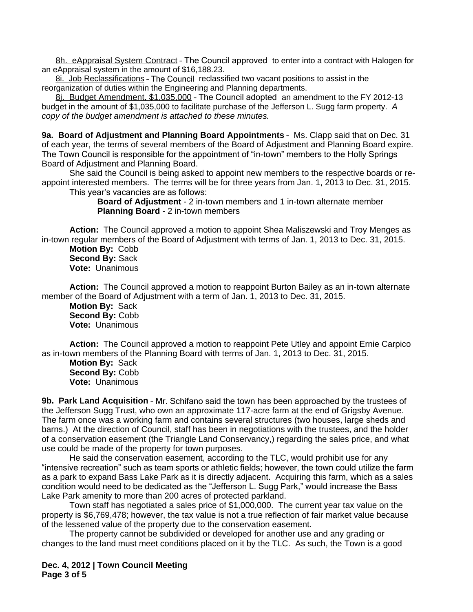8h. eAppraisal System Contract – The Council approved to enter into a contract with Halogen for an eAppraisal system in the amount of \$16,188.23.

8i. Job Reclassifications – The Council reclassified two vacant positions to assist in the reorganization of duties within the Engineering and Planning departments.

8j. Budget Amendment, \$1,035,000 – The Council adopted an amendment to the FY 2012-13 budget in the amount of \$1,035,000 to facilitate purchase of the Jefferson L. Sugg farm property. *A copy of the budget amendment is attached to these minutes.*

**9a. Board of Adjustment and Planning Board Appointments** – Ms. Clapp said that on Dec. 31 of each year, the terms of several members of the Board of Adjustment and Planning Board expire. The Town Council is responsible for the appointment of "in-town" members to the Holly Springs Board of Adjustment and Planning Board.

She said the Council is being asked to appoint new members to the respective boards or reappoint interested members. The terms will be for three years from Jan. 1, 2013 to Dec. 31, 2015. This year's vacancies are as follows:

> **Board of Adjustment** - 2 in-town members and 1 in-town alternate member **Planning Board** - 2 in-town members

**Action:** The Council approved a motion to appoint Shea Maliszewski and Troy Menges as in-town regular members of the Board of Adjustment with terms of Jan. 1, 2013 to Dec. 31, 2015.

**Motion By:** Cobb **Second By:** Sack **Vote:** Unanimous

**Action:** The Council approved a motion to reappoint Burton Bailey as an in-town alternate member of the Board of Adjustment with a term of Jan. 1, 2013 to Dec. 31, 2015.

**Motion By:** Sack **Second By:** Cobb **Vote:** Unanimous

**Action:** The Council approved a motion to reappoint Pete Utley and appoint Ernie Carpico as in-town members of the Planning Board with terms of Jan. 1, 2013 to Dec. 31, 2015.

**Motion By:** Sack **Second By:** Cobb **Vote:** Unanimous

**9b. Park Land Acquisition** – Mr. Schifano said the town has been approached by the trustees of the Jefferson Sugg Trust, who own an approximate 117-acre farm at the end of Grigsby Avenue. The farm once was a working farm and contains several structures (two houses, large sheds and barns.) At the direction of Council, staff has been in negotiations with the trustees, and the holder of a conservation easement (the Triangle Land Conservancy,) regarding the sales price, and what use could be made of the property for town purposes.

He said the conservation easement, according to the TLC, would prohibit use for any "intensive recreation" such as team sports or athletic fields; however, the town could utilize the farm as a park to expand Bass Lake Park as it is directly adjacent. Acquiring this farm, which as a sales condition would need to be dedicated as the "Jefferson L. Sugg Park," would increase the Bass Lake Park amenity to more than 200 acres of protected parkland.

Town staff has negotiated a sales price of \$1,000,000. The current year tax value on the property is \$6,769,478; however, the tax value is not a true reflection of fair market value because of the lessened value of the property due to the conservation easement.

The property cannot be subdivided or developed for another use and any grading or changes to the land must meet conditions placed on it by the TLC. As such, the Town is a good

**Dec. 4, 2012 | Town Council Meeting Page 3 of 5**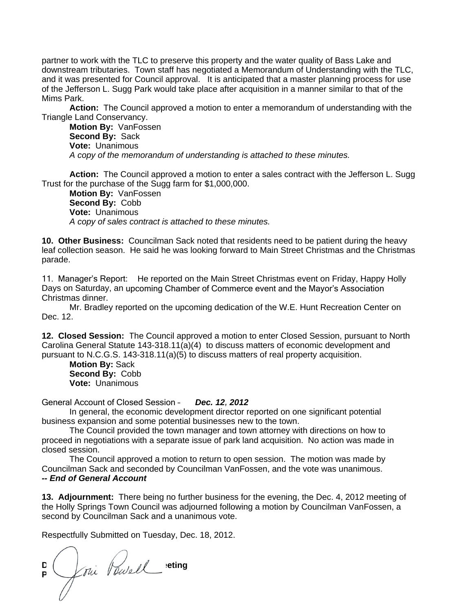partner to work with the TLC to preserve this property and the water quality of Bass Lake and downstream tributaries. Town staff has negotiated a Memorandum of Understanding with the TLC, and it was presented for Council approval. It is anticipated that a master planning process for use of the Jefferson L. Sugg Park would take place after acquisition in a manner similar to that of the Mims Park.

**Action:** The Council approved a motion to enter a memorandum of understanding with the Triangle Land Conservancy.

**Motion By:** VanFossen **Second By:** Sack **Vote:** Unanimous *A copy of the memorandum of understanding is attached to these minutes.*

**Action:** The Council approved a motion to enter a sales contract with the Jefferson L. Sugg Trust for the purchase of the Sugg farm for \$1,000,000.

**Motion By:** VanFossen **Second By:** Cobb **Vote:** Unanimous *A copy of sales contract is attached to these minutes.*

**10. Other Business:** Councilman Sack noted that residents need to be patient during the heavy leaf collection season. He said he was looking forward to Main Street Christmas and the Christmas parade.

11. Manager's Report: He reported on the Main Street Christmas event on Friday, Happy Holly Days on Saturday, an upcoming Chamber of Commerce event and the Mayor's Association Christmas dinner.

Mr. Bradley reported on the upcoming dedication of the W.E. Hunt Recreation Center on Dec. 12.

**12. Closed Session:** The Council approved a motion to enter Closed Session, pursuant to North Carolina General Statute 143-318.11(a)(4) to discuss matters of economic development and pursuant to N.C.G.S. 143-318.11(a)(5) to discuss matters of real property acquisition.

**Motion By:** Sack **Second By:** Cobb **Vote:** Unanimous

General Account of Closed Session – *Dec. 12, 2012*

In general, the economic development director reported on one significant potential business expansion and some potential businesses new to the town.

The Council provided the town manager and town attorney with directions on how to proceed in negotiations with a separate issue of park land acquisition. No action was made in closed session.

The Council approved a motion to return to open session. The motion was made by Councilman Sack and seconded by Councilman VanFossen, and the vote was unanimous. *-- End of General Account*

**13. Adjournment:** There being no further business for the evening, the Dec. 4, 2012 meeting of the Holly Springs Town Council was adjourned following a motion by Councilman VanFossen, a second by Councilman Sack and a unanimous vote.

Respectfully Submitted on Tuesday, Dec. 18, 2012.

**D**ec. **1, 2012 December 1**  $P \setminus \mathcal{L}^{\theta}$